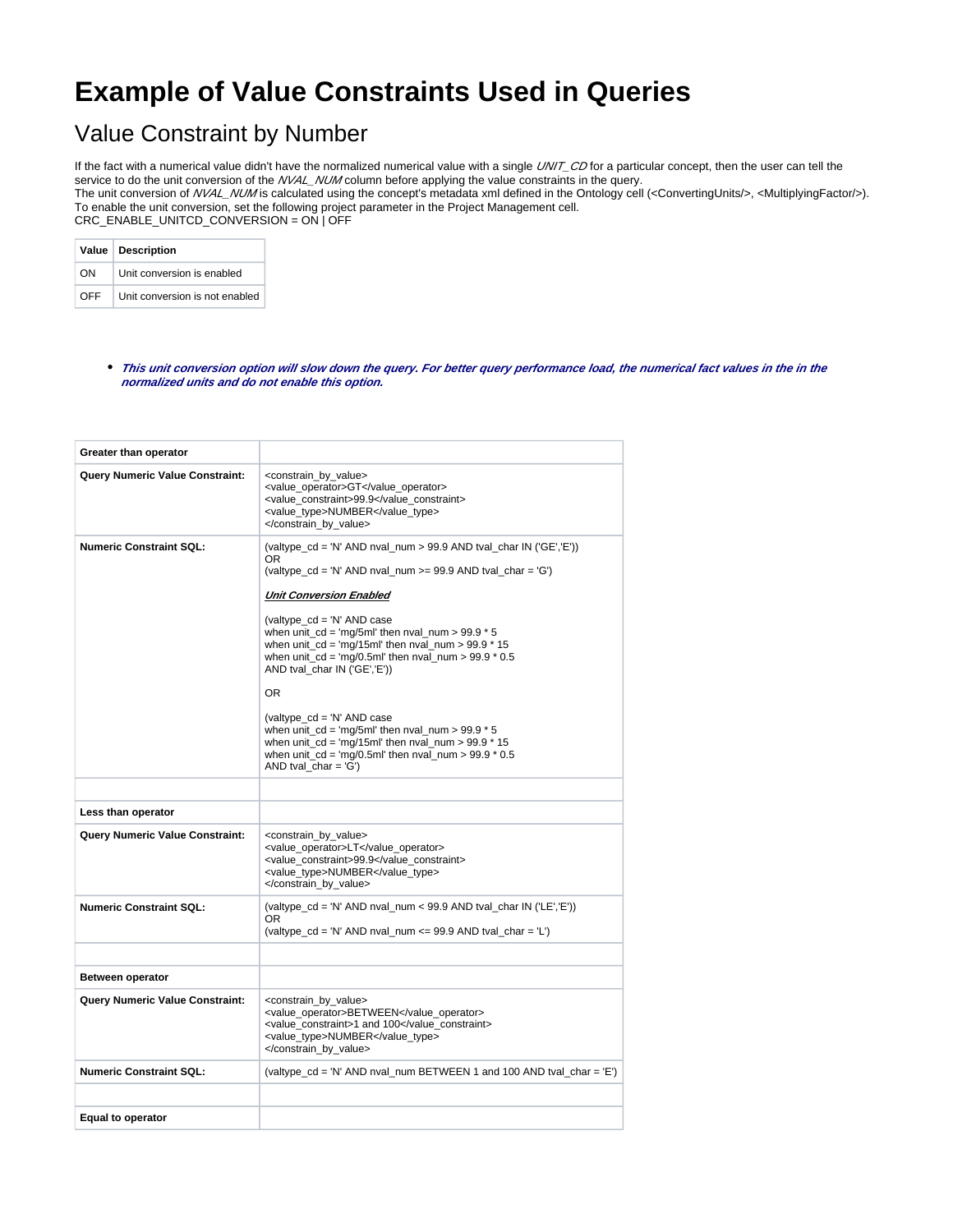## **Example of Value Constraints Used in Queries**

## Value Constraint by Number

If the fact with a numerical value didn't have the normalized numerical value with a single UNIT\_CD for a particular concept, then the user can tell the service to do the unit conversion of the NVAL\_NUM column before applying the value constraints in the query. The unit conversion of NVAL\_NUM is calculated using the concept's metadata xml defined in the Ontology cell (<ConvertingUnits/>, <MultiplyingFactor/>). To enable the unit conversion, set the following project parameter in the Project Management cell. CRC\_ENABLE\_UNITCD\_CONVERSION = ON | OFF

|     | Value   Description            |
|-----|--------------------------------|
| 0N. | Unit conversion is enabled     |
| OFF | Unit conversion is not enabled |

**This unit conversion option will slow down the query. For better query performance load, the numerical fact values in the in the normalized units and do not enable this option.**

| Greater than operator                  |                                                                                                                                                                                                                                                                                                                                                                                                                                                                                                                                                                                                                                                                                                            |
|----------------------------------------|------------------------------------------------------------------------------------------------------------------------------------------------------------------------------------------------------------------------------------------------------------------------------------------------------------------------------------------------------------------------------------------------------------------------------------------------------------------------------------------------------------------------------------------------------------------------------------------------------------------------------------------------------------------------------------------------------------|
| <b>Query Numeric Value Constraint:</b> | <constrain_by_value><br/><value_operator>GT</value_operator><br/><value_constraint>99.9</value_constraint><br/><value type="">NUMBER</value><br/></constrain_by_value>                                                                                                                                                                                                                                                                                                                                                                                                                                                                                                                                     |
| <b>Numeric Constraint SQL:</b>         | (valtype_cd = 'N' AND nval_num > 99.9 AND tval_char IN ('GE','E'))<br>OR.<br>(valtype_cd = 'N' AND nval_num >= $99.9$ AND tval_char = 'G')<br><b>Unit Conversion Enabled</b><br>(valtype $cd = 'N'$ AND case<br>when unit $cd = \text{mq/5ml}$ then nval num > 99.9 $*$ 5<br>when unit $cd = \frac{mq}{15m}$ then nval num > 99.9 $*$ 15<br>when unit $cd = \frac{mq}{0.5m}$ then nval num > 99.9 $*$ 0.5<br>AND tval char IN ('GE','E'))<br>OR.<br>(valtype $cd = 'N'$ AND case<br>when unit $cd = \text{mq/5ml}$ then nval num > 99.9 $*$ 5<br>when unit $cd = \text{mq}/15$ ml' then nval num > 99.9 $*$ 15<br>when unit $cd = \frac{mq}{0.5m}$ then nval num > 99.9 $*$ 0.5<br>AND tval_char = $'G'$ ) |
| Less than operator                     |                                                                                                                                                                                                                                                                                                                                                                                                                                                                                                                                                                                                                                                                                                            |
| <b>Query Numeric Value Constraint:</b> | <constrain_by_value><br/><value_operator>LT</value_operator><br/><value constraint="">99.9</value><br/><value type="">NUMBER</value><br/></constrain_by_value>                                                                                                                                                                                                                                                                                                                                                                                                                                                                                                                                             |
| <b>Numeric Constraint SQL:</b>         | (valtype_cd = 'N' AND nval_num < 99.9 AND tval_char IN ('LE','E'))<br>OR.<br>(valtype $cd = 'N'$ AND nval num $\leq$ 99.9 AND tval char = 'L')                                                                                                                                                                                                                                                                                                                                                                                                                                                                                                                                                             |
| <b>Between operator</b>                |                                                                                                                                                                                                                                                                                                                                                                                                                                                                                                                                                                                                                                                                                                            |
| Query Numeric Value Constraint:        | <constrain by="" value=""><br/><value_operator>BETWEEN</value_operator><br/><value constraint="">1 and 100</value><br/><value_type>NUMBER</value_type><br/></constrain>                                                                                                                                                                                                                                                                                                                                                                                                                                                                                                                                    |
| <b>Numeric Constraint SQL:</b>         | (valtype_cd = 'N' AND nval_num BETWEEN 1 and 100 AND tval_char = 'E')                                                                                                                                                                                                                                                                                                                                                                                                                                                                                                                                                                                                                                      |
|                                        |                                                                                                                                                                                                                                                                                                                                                                                                                                                                                                                                                                                                                                                                                                            |
| Equal to operator                      |                                                                                                                                                                                                                                                                                                                                                                                                                                                                                                                                                                                                                                                                                                            |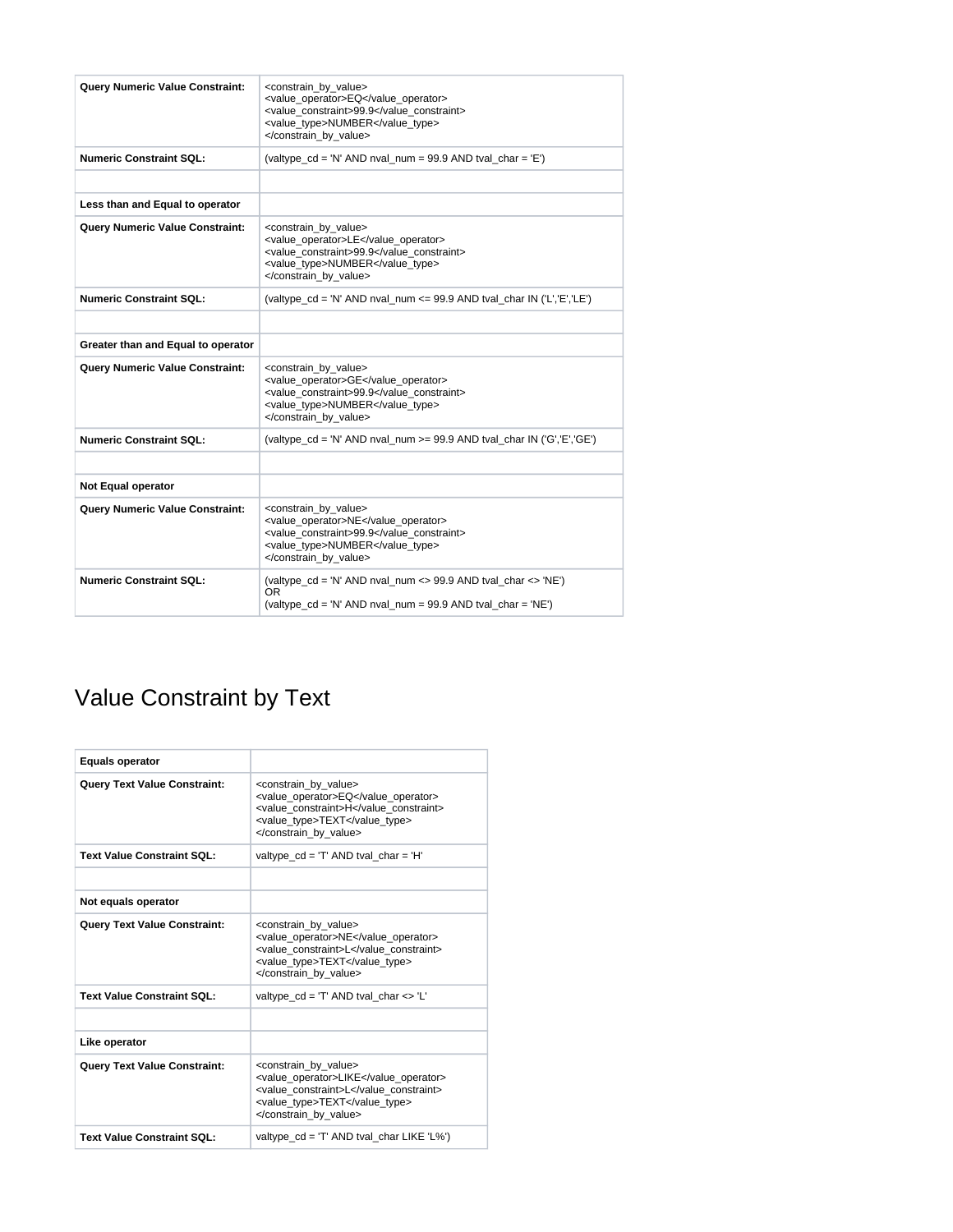| <b>Query Numeric Value Constraint:</b> | <constrain by="" value=""><br/><value operator="">EQ</value><br/><value constraint="">99.9</value><br/><value type="">NUMBER</value><br/></constrain>          |
|----------------------------------------|----------------------------------------------------------------------------------------------------------------------------------------------------------------|
| <b>Numeric Constraint SQL:</b>         | (valtype_cd = 'N' AND nval_num = 99.9 AND tval_char = 'E')                                                                                                     |
|                                        |                                                                                                                                                                |
| Less than and Equal to operator        |                                                                                                                                                                |
| <b>Query Numeric Value Constraint:</b> | <constrain_by_value><br/><value_operator>LE</value_operator><br/><value constraint="">99.9</value><br/><value type="">NUMBER</value><br/></constrain_by_value> |
| <b>Numeric Constraint SQL:</b>         | (valtype $cd = 'N'$ AND nval num <= 99.9 AND tval char IN ('L', 'E', 'LE')                                                                                     |
|                                        |                                                                                                                                                                |
| Greater than and Equal to operator     |                                                                                                                                                                |
| Query Numeric Value Constraint:        | <constrain by="" value=""><br/><value operator="">GE</value><br/><value constraint="">99.9</value><br/><value type="">NUMBER</value><br/></constrain>          |
| <b>Numeric Constraint SQL:</b>         | (valtype $cd = 'N'$ AND nval num $>= 99.9$ AND tval char IN ('G', 'E', 'GE')                                                                                   |
|                                        |                                                                                                                                                                |
| Not Equal operator                     |                                                                                                                                                                |
| Query Numeric Value Constraint:        | <constrain by="" value=""><br/><value operator="">NE</value><br/><value constraint="">99.9</value><br/><value type="">NUMBER</value><br/></constrain>          |
| <b>Numeric Constraint SQL:</b>         | (valtype $cd = 'N'$ AND nval num <> 99.9 AND tval char <> 'NE')<br>0R<br>(valtype_cd = 'N' AND nval_num = 99.9 AND tval_char = 'NE')                           |

## Value Constraint by Text

| <b>Equals operator</b>              |                                                                                                                                                            |
|-------------------------------------|------------------------------------------------------------------------------------------------------------------------------------------------------------|
| <b>Query Text Value Constraint:</b> | <constrain by="" value=""><br/><value operator="">EQ</value><br/><value constraint="">H</value><br/><value type="">TEXT</value><br/></constrain>           |
| <b>Text Value Constraint SQL:</b>   | valtype $cd = T'$ AND tval $char = H'$                                                                                                                     |
|                                     |                                                                                                                                                            |
| Not equals operator                 |                                                                                                                                                            |
| <b>Query Text Value Constraint:</b> | <constrain_by_value><br/><value operator="">NE</value><br/><value constraint="">L</value><br/><value type="">TEXT</value><br/></constrain_by_value>        |
| <b>Text Value Constraint SQL:</b>   | valtype $cd = T'$ AND tval char $\langle \rangle$ "L"                                                                                                      |
|                                     |                                                                                                                                                            |
| Like operator                       |                                                                                                                                                            |
| <b>Query Text Value Constraint:</b> | <constrain by="" value=""><br/><value operator="">LIKE</value><br/><value_constraint>L</value_constraint><br/><value type="">TEXT</value><br/></constrain> |
| Text Value Constraint SQL:          | valtype $cd = T'$ AND tval char LIKE 'L%')                                                                                                                 |